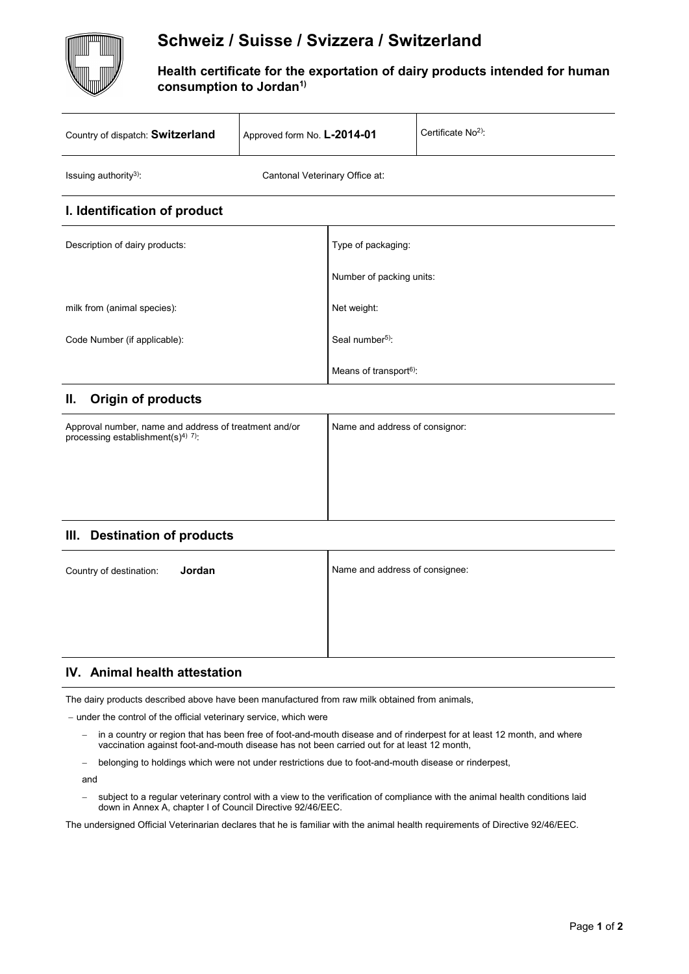

# **Schweiz / Suisse / Svizzera / Switzerland**

### **Health certificate for the exportation of dairy products intended for human consumption to Jordan1)**

| Country of dispatch: Switzerland                                                                                   | Approved form No. L-2014-01    |                                    | Certificate No <sup>2)</sup> : |  |
|--------------------------------------------------------------------------------------------------------------------|--------------------------------|------------------------------------|--------------------------------|--|
| Issuing authority <sup>3)</sup> :                                                                                  | Cantonal Veterinary Office at: |                                    |                                |  |
| I. Identification of product                                                                                       |                                |                                    |                                |  |
| Description of dairy products:                                                                                     |                                | Type of packaging:                 |                                |  |
|                                                                                                                    |                                | Number of packing units:           |                                |  |
| milk from (animal species):                                                                                        |                                | Net weight:                        |                                |  |
| Code Number (if applicable):                                                                                       |                                | Seal number <sup>5)</sup> :        |                                |  |
|                                                                                                                    |                                | Means of transport <sup>6)</sup> : |                                |  |
| <b>Origin of products</b><br>Ш.                                                                                    |                                |                                    |                                |  |
| Approval number, name and address of treatment and/or<br>processing establishment(s) <sup>4)</sup> <sup>7)</sup> : |                                | Name and address of consignor:     |                                |  |
|                                                                                                                    |                                |                                    |                                |  |
|                                                                                                                    |                                |                                    |                                |  |
| III. Destination of products                                                                                       |                                |                                    |                                |  |
| Jordan<br>Country of destination:                                                                                  |                                | Name and address of consignee:     |                                |  |

### **IV. Animal health attestation**

The dairy products described above have been manufactured from raw milk obtained from animals,

− under the control of the official veterinary service, which were

- − in a country or region that has been free of foot-and-mouth disease and of rinderpest for at least 12 month, and where vaccination against foot-and-mouth disease has not been carried out for at least 12 month,
- − belonging to holdings which were not under restrictions due to foot-and-mouth disease or rinderpest,

and

subject to a regular veterinary control with a view to the verification of compliance with the animal health conditions laid down in Annex A, chapter I of Council Directive 92/46/EEC.

The undersigned Official Veterinarian declares that he is familiar with the animal health requirements of Directive 92/46/EEC.